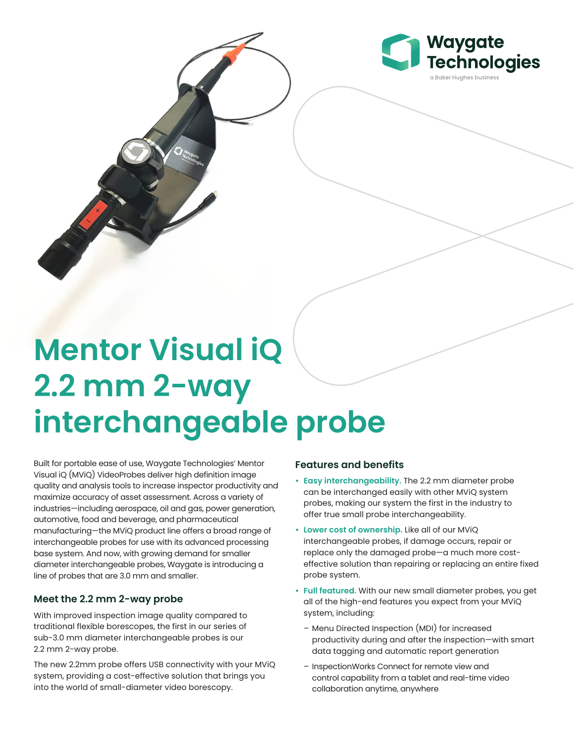

## **Mentor Visual iQ 2.2 mm 2-way interchangeable probe**

Built for portable ease of use, Waygate Technologies' Mentor Visual iQ (MViQ) VideoProbes deliver high definition image quality and analysis tools to increase inspector productivity and maximize accuracy of asset assessment. Across a variety of industries—including aerospace, oil and gas, power generation, automotive, food and beverage, and pharmaceutical manufacturing—the MViQ product line offers a broad range of interchangeable probes for use with its advanced processing base system. And now, with growing demand for smaller diameter interchangeable probes, Waygate is introducing a line of probes that are 3.0 mm and smaller.

## **Meet the 2.2 mm 2-way probe**

With improved inspection image quality compared to traditional flexible borescopes, the first in our series of sub-3.0 mm diameter interchangeable probes is our 2.2 mm 2-way probe.

The new 2.2mm probe offers USB connectivity with your MViQ system, providing a cost-effective solution that brings you into the world of small-diameter video borescopy.

## **Features and benefits**

- **• Easy interchangeability.** The 2.2 mm diameter probe can be interchanged easily with other MViQ system probes, making our system the first in the industry to offer true small probe interchangeability.
- **• Lower cost of ownership.** Like all of our MViQ interchangeable probes, if damage occurs, repair or replace only the damaged probe—a much more costeffective solution than repairing or replacing an entire fixed probe system.
- **• Full featured.** With our new small diameter probes, you get all of the high-end features you expect from your MViQ system, including:
	- Menu Directed Inspection (MDI) for increased productivity during and after the inspection—with smart data tagging and automatic report generation
	- InspectionWorks Connect for remote view and control capability from a tablet and real-time video collaboration anytime, anywhere